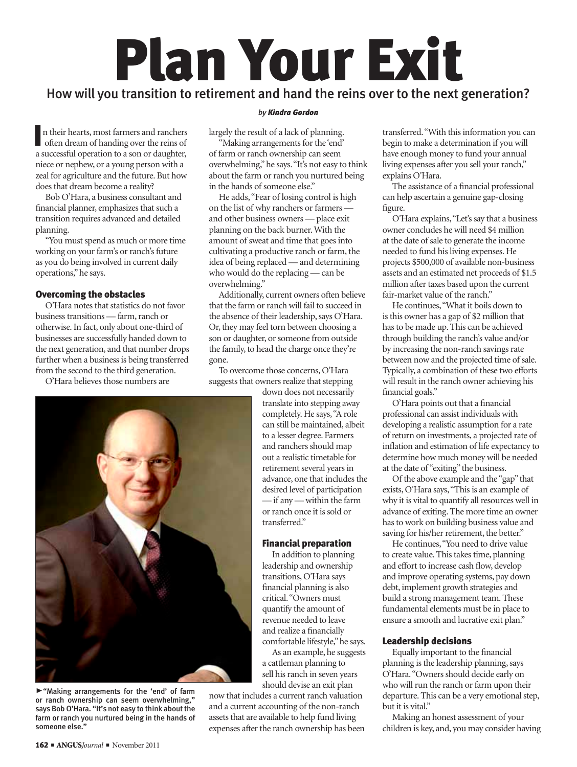# Plan Your Exit

# How will you transition to retirement and hand the reins over to the next generation?

In their hearts, most farmers and ranchers<br>often dream of handing over the reins of<br>a successful operation to a son or daughter, n their hearts, most farmers and ranchers often dream of handing over the reins of niece or nephew, or a young person with a zeal for agriculture and the future. But how does that dream become a reality?

Bob O'Hara, a business consultant and financial planner, emphasizes that such a transition requires advanced and detailed planning.

"You must spend as much or more time working on your farm's or ranch's future as you do being involved in current daily operations," he says.

# Overcoming the obstacles

O'Hara notes that statistics do not favor business transitions — farm, ranch or otherwise. In fact, only about one-third of businesses are successfully handed down to the next generation, and that number drops further when a business is being transferred from the second to the third generation.

O'Hara believes those numbers are



@"Making arrangements for the 'end' of farm or ranch ownership can seem overwhelming," says Bob O'Hara. "It's not easy to think about the farm or ranch you nurtured being in the hands of someone else."

#### *by Kindra Gordon*

largely the result of a lack of planning.

"Making arrangements for the 'end' of farm or ranch ownership can seem overwhelming," he says. "It's not easy to think about the farm or ranch you nurtured being in the hands of someone else."

He adds, "Fear of losing control is high on the list of why ranchers or farmers and other business owners — place exit planning on the back burner. With the amount of sweat and time that goes into cultivating a productive ranch or farm, the idea of being replaced — and determining who would do the replacing — can be overwhelming."

Additionally, current owners often believe that the farm or ranch will fail to succeed in the absence of their leadership, says O'Hara. Or, they may feel torn between choosing a son or daughter, or someone from outside the family, to head the charge once they're gone.

To overcome those concerns, O'Hara suggests that owners realize that stepping

down does not necessarily translate into stepping away completely. He says, "A role can still be maintained, albeit to a lesser degree. Farmers and ranchers should map out a realistic timetable for retirement several years in advance, one that includes the desired level of participation — if any — within the farm or ranch once it is sold or transferred."

## Financial preparation

In addition to planning leadership and ownership transitions, O'Hara says financial planning is also critical. "Owners must quantify the amount of revenue needed to leave and realize a financially comfortable lifestyle," he says.

As an example, he suggests a cattleman planning to sell his ranch in seven years should devise an exit plan

now that includes a current ranch valuation and a current accounting of the non-ranch assets that are available to help fund living expenses after the ranch ownership has been transferred. "With this information you can begin to make a determination if you will have enough money to fund your annual living expenses after you sell your ranch," explains O'Hara.

The assistance of a financial professional can help ascertain a genuine gap-closing figure.

O'Hara explains, "Let's say that a business owner concludes he will need \$4 million at the date of sale to generate the income needed to fund his living expenses. He projects \$500,000 of available non-business assets and an estimated net proceeds of \$1.5 million after taxes based upon the current fair-market value of the ranch."

He continues, "What it boils down to is this owner has a gap of \$2 million that has to be made up. This can be achieved through building the ranch's value and/or by increasing the non-ranch savings rate between now and the projected time of sale. Typically, a combination of these two efforts will result in the ranch owner achieving his financial goals."

O'Hara points out that a financial professional can assist individuals with developing a realistic assumption for a rate of return on investments, a projected rate of inflation and estimation of life expectancy to determine how much money will be needed at the date of "exiting" the business.

Of the above example and the "gap" that exists, O'Hara says, "This is an example of why it is vital to quantify all resources well in advance of exiting. The more time an owner has to work on building business value and saving for his/her retirement, the better."

He continues, "You need to drive value to create value. This takes time, planning and effort to increase cash flow, develop and improve operating systems, pay down debt, implement growth strategies and build a strong management team. These fundamental elements must be in place to ensure a smooth and lucrative exit plan."

## Leadership decisions

Equally important to the financial planning is the leadership planning, says O'Hara. "Owners should decide early on who will run the ranch or farm upon their departure. This can be a very emotional step, but it is vital."

Making an honest assessment of your children is key, and, you may consider having